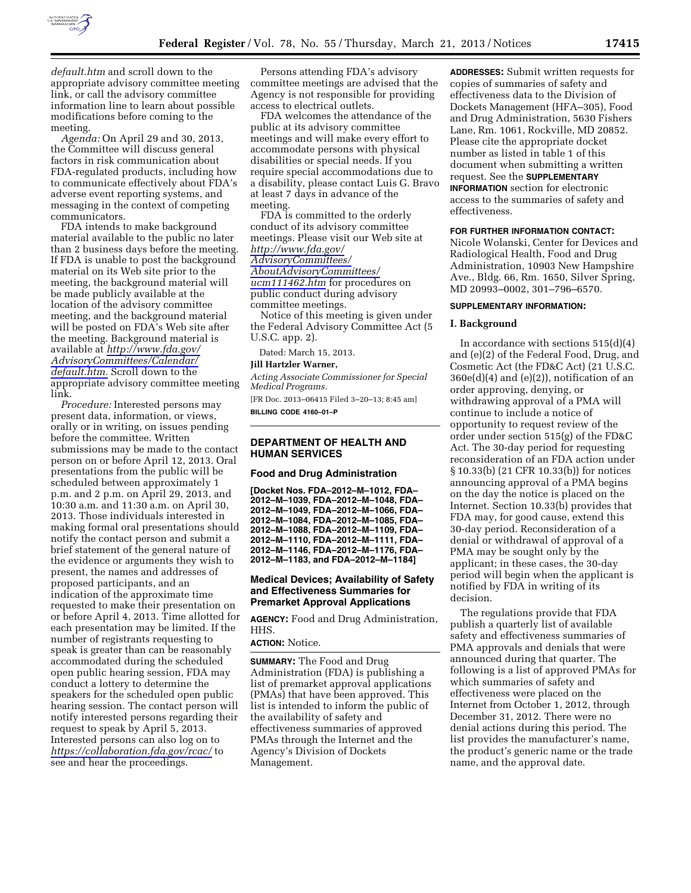

*default.htm* and scroll down to the appropriate advisory committee meeting link, or call the advisory committee information line to learn about possible modifications before coming to the meeting.

*Agenda:* On April 29 and 30, 2013, the Committee will discuss general factors in risk communication about FDA-regulated products, including how to communicate effectively about FDA's adverse event reporting systems, and messaging in the context of competing communicators.

FDA intends to make background material available to the public no later than 2 business days before the meeting. If FDA is unable to post the background material on its Web site prior to the meeting, the background material will be made publicly available at the location of the advisory committee meeting, and the background material will be posted on FDA's Web site after the meeting. Background material is available at *[http://www.fda.gov/](http://www.fda.gov/AdvisoryCommittees/Calendar/default.htm)  [AdvisoryCommittees/Calendar/](http://www.fda.gov/AdvisoryCommittees/Calendar/default.htm)  [default.htm.](http://www.fda.gov/AdvisoryCommittees/Calendar/default.htm)* Scroll down to the appropriate advisory committee meeting link.

*Procedure:* Interested persons may present data, information, or views, orally or in writing, on issues pending before the committee. Written submissions may be made to the contact person on or before April 12, 2013. Oral presentations from the public will be scheduled between approximately 1 p.m. and 2 p.m. on April 29, 2013, and 10:30 a.m. and 11:30 a.m. on April 30, 2013. Those individuals interested in making formal oral presentations should notify the contact person and submit a brief statement of the general nature of the evidence or arguments they wish to present, the names and addresses of proposed participants, and an indication of the approximate time requested to make their presentation on or before April 4, 2013. Time allotted for each presentation may be limited. If the number of registrants requesting to speak is greater than can be reasonably accommodated during the scheduled open public hearing session, FDA may conduct a lottery to determine the speakers for the scheduled open public hearing session. The contact person will notify interested persons regarding their request to speak by April 5, 2013. Interested persons can also log on to *<https://collaboration.fda.gov/rcac/>*to see and hear the proceedings.

Persons attending FDA's advisory committee meetings are advised that the Agency is not responsible for providing access to electrical outlets.

FDA welcomes the attendance of the public at its advisory committee meetings and will make every effort to accommodate persons with physical disabilities or special needs. If you require special accommodations due to a disability, please contact Luis G. Bravo at least 7 days in advance of the meeting.

FDA is committed to the orderly conduct of its advisory committee meetings. Please visit our Web site at *[http://www.fda.gov/](http://www.fda.gov/AdvisoryCommittees/AboutAdvisoryCommittees/ucm111462.htm) [AdvisoryCommittees/](http://www.fda.gov/AdvisoryCommittees/AboutAdvisoryCommittees/ucm111462.htm) [AboutAdvisoryCommittees/](http://www.fda.gov/AdvisoryCommittees/AboutAdvisoryCommittees/ucm111462.htm)* 

*[ucm111462.htm](http://www.fda.gov/AdvisoryCommittees/AboutAdvisoryCommittees/ucm111462.htm)* for procedures on public conduct during advisory committee meetings.

Notice of this meeting is given under the Federal Advisory Committee Act (5 U.S.C. app. 2).

Dated: March 15, 2013.

### **Jill Hartzler Warner,**

*Acting Associate Commissioner for Special Medical Programs.* 

[FR Doc. 2013–06415 Filed 3–20–13; 8:45 am] **BILLING CODE 4160–01–P** 

## **DEPARTMENT OF HEALTH AND HUMAN SERVICES**

# **Food and Drug Administration**

**[Docket Nos. FDA–2012–M–1012, FDA– 2012–M–1039, FDA–2012–M–1048, FDA– 2012–M–1049, FDA–2012–M–1066, FDA– 2012–M–1084, FDA–2012–M–1085, FDA– 2012–M–1088, FDA–2012–M–1109, FDA– 2012–M–1110, FDA–2012–M–1111, FDA– 2012–M–1146, FDA–2012–M–1176, FDA– 2012–M–1183, and FDA–2012–M–1184]** 

## **Medical Devices; Availability of Safety and Effectiveness Summaries for Premarket Approval Applications**

**AGENCY:** Food and Drug Administration, HHS.

## **ACTION:** Notice.

**SUMMARY:** The Food and Drug Administration (FDA) is publishing a list of premarket approval applications (PMAs) that have been approved. This list is intended to inform the public of the availability of safety and effectiveness summaries of approved PMAs through the Internet and the Agency's Division of Dockets Management.

**ADDRESSES:** Submit written requests for copies of summaries of safety and effectiveness data to the Division of Dockets Management (HFA–305), Food and Drug Administration, 5630 Fishers Lane, Rm. 1061, Rockville, MD 20852. Please cite the appropriate docket number as listed in table 1 of this document when submitting a written request. See the **SUPPLEMENTARY INFORMATION** section for electronic access to the summaries of safety and effectiveness.

### **FOR FURTHER INFORMATION CONTACT:**

Nicole Wolanski, Center for Devices and Radiological Health, Food and Drug Administration, 10903 New Hampshire Ave., Bldg. 66, Rm. 1650, Silver Spring, MD 20993–0002, 301–796–6570.

## **SUPPLEMENTARY INFORMATION:**

#### **I. Background**

In accordance with sections  $515(d)(4)$ and (e)(2) of the Federal Food, Drug, and Cosmetic Act (the FD&C Act) (21 U.S.C.  $360e(d)(4)$  and  $(e)(2)$ , notification of an order approving, denying, or withdrawing approval of a PMA will continue to include a notice of opportunity to request review of the order under section 515(g) of the FD&C Act. The 30-day period for requesting reconsideration of an FDA action under § 10.33(b) (21 CFR 10.33(b)) for notices announcing approval of a PMA begins on the day the notice is placed on the Internet. Section 10.33(b) provides that FDA may, for good cause, extend this 30-day period. Reconsideration of a denial or withdrawal of approval of a PMA may be sought only by the applicant; in these cases, the 30-day period will begin when the applicant is notified by FDA in writing of its decision.

The regulations provide that FDA publish a quarterly list of available safety and effectiveness summaries of PMA approvals and denials that were announced during that quarter. The following is a list of approved PMAs for which summaries of safety and effectiveness were placed on the Internet from October 1, 2012, through December 31, 2012. There were no denial actions during this period. The list provides the manufacturer's name, the product's generic name or the trade name, and the approval date.